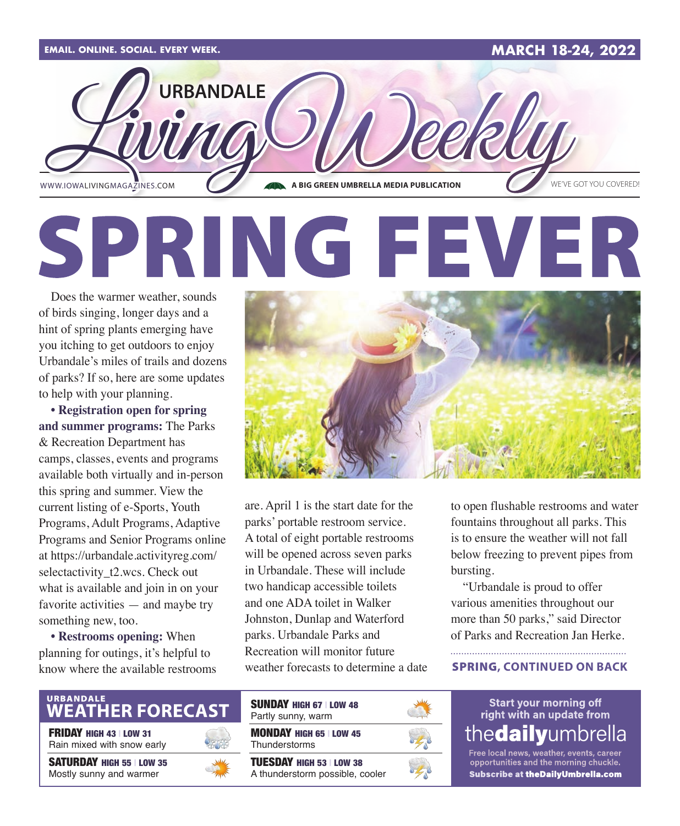

# SPRING FEVER

Does the warmer weather, sounds of birds singing, longer days and a hint of spring plants emerging have you itching to get outdoors to enjoy Urbandale's miles of trails and dozens of parks? If so, here are some updates to help with your planning.

**• Registration open for spring and summer programs:** The Parks & Recreation Department has camps, classes, events and programs available both virtually and in-person this spring and summer. View the current listing of e-Sports, Youth Programs, Adult Programs, Adaptive Programs and Senior Programs online at [https://urbandale.activityreg.com/](https://urbandale.activityreg.com/selectactivity_t2.wcs) selectactivity t2.wcs. Check out what is available and join in on your favorite activities — and maybe try something new, too.

**• Restrooms opening:** When planning for outings, it's helpful to know where the available restrooms



are. April 1 is the start date for the parks' portable restroom service. A total of eight portable restrooms will be opened across seven parks in Urbandale. These will include two handicap accessible toilets and one ADA toilet in Walker Johnston, Dunlap and Waterford parks. Urbandale Parks and Recreation will monitor future weather forecasts to determine a date to open flushable restrooms and water fountains throughout all parks. This is to ensure the weather will not fall below freezing to prevent pipes from bursting.

"Urbandale is proud to offer various amenities throughout our more than 50 parks," said Director of Parks and Recreation Jan Herke.

#### SPRING**, CONTINUED ON BACK**

## URBANDALE<br>**WEATH<u>ER FORECAST</u>**

FRIDAY HIGH 43 | LOW 31 Rain mixed with snow early

SATURDAY HIGH 55 | LOW 35 Mostly sunny and warmer



| <b>SUNDAY HIGH 67   LOW 48</b><br>Partly sunny, warm               |  |
|--------------------------------------------------------------------|--|
| <b>MONDAY HIGH 65   LOW 45</b><br>Thunderstorms                    |  |
| <b>TUESDAY HIGH 53   LOW 38</b><br>A thunderstorm possible, cooler |  |



**Start your morning off** right with an update from the**daily**umbrella

Free local news, weather, events, career<br>opportunities and the morning chuckle. Subscribe at theDailyUmbrella.com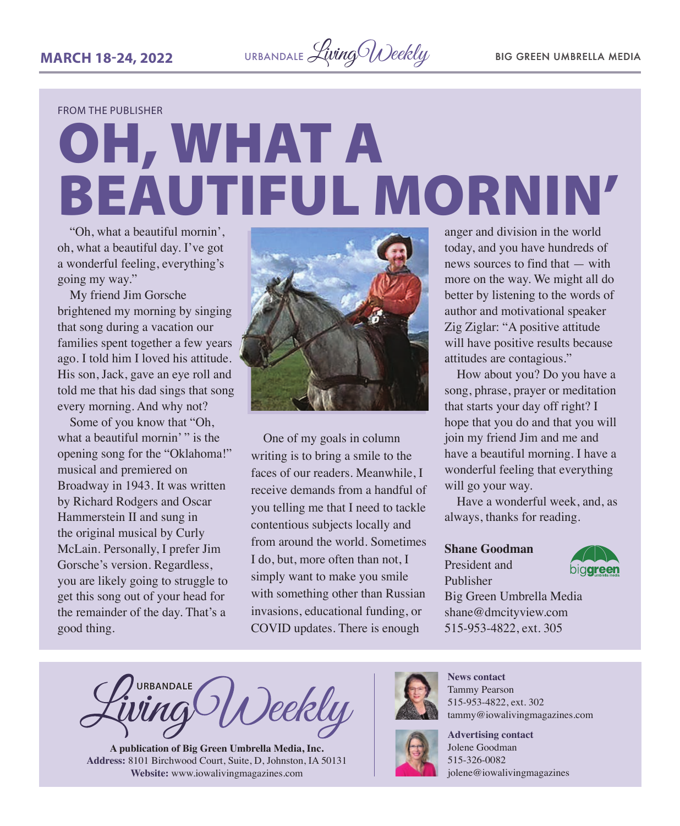**MARCH 18-24, 2022** URBANDALE *Living Weekly* BIG GREEN UMBRELLA MEDIA

FROM THE PUBLISHER

# OH, WHAT A BEAUTIFUL MORNIN'

"Oh, what a beautiful mornin', oh, what a beautiful day. I've got a wonderful feeling, everything's going my way."

My friend Jim Gorsche brightened my morning by singing that song during a vacation our families spent together a few years ago. I told him I loved his attitude. His son, Jack, gave an eye roll and told me that his dad sings that song every morning. And why not?

Some of you know that "Oh, what a beautiful mornin'" is the opening song for the "Oklahoma!" musical and premiered on Broadway in 1943. It was written by Richard Rodgers and Oscar Hammerstein II and sung in the original musical by Curly McLain. Personally, I prefer Jim Gorsche's version. Regardless, you are likely going to struggle to get this song out of your head for the remainder of the day. That's a good thing.



One of my goals in column writing is to bring a smile to the faces of our readers. Meanwhile, I receive demands from a handful of you telling me that I need to tackle contentious subjects locally and from around the world. Sometimes I do, but, more often than not, I simply want to make you smile with something other than Russian invasions, educational funding, or COVID updates. There is enough

anger and division in the world today, and you have hundreds of news sources to find that — with more on the way. We might all do better by listening to the words of author and motivational speaker Zig Ziglar: "A positive attitude will have positive results because attitudes are contagious."

How about you? Do you have a song, phrase, prayer or meditation that starts your day off right? I hope that you do and that you will join my friend Jim and me and have a beautiful morning. I have a wonderful feeling that everything will go your way.

Have a wonderful week, and, as always, thanks for reading.

#### **Shane Goodman**

#### President and

Publisher



Big Green Umbrella Media shane@dmcityview.com 515-953-4822, ext. 305

**URBANDALE** Deekly

**A publication of Big Green Umbrella Media, Inc. Address:** 8101 Birchwood Court, Suite, D, Johnston, IA 50131 **Website:** [www.iowalivingmagazines.com](http://www.iowalivingmagazines.com)



**News contact** Tammy Pearson 515-953-4822, ext. 302 [tammy@iowalivingmagazines.com](mailto:tammy@iowalivingmagazines.com)



**Advertising contact** Jolene Goodman 515-326-0082 jolene@iowalivingmagazines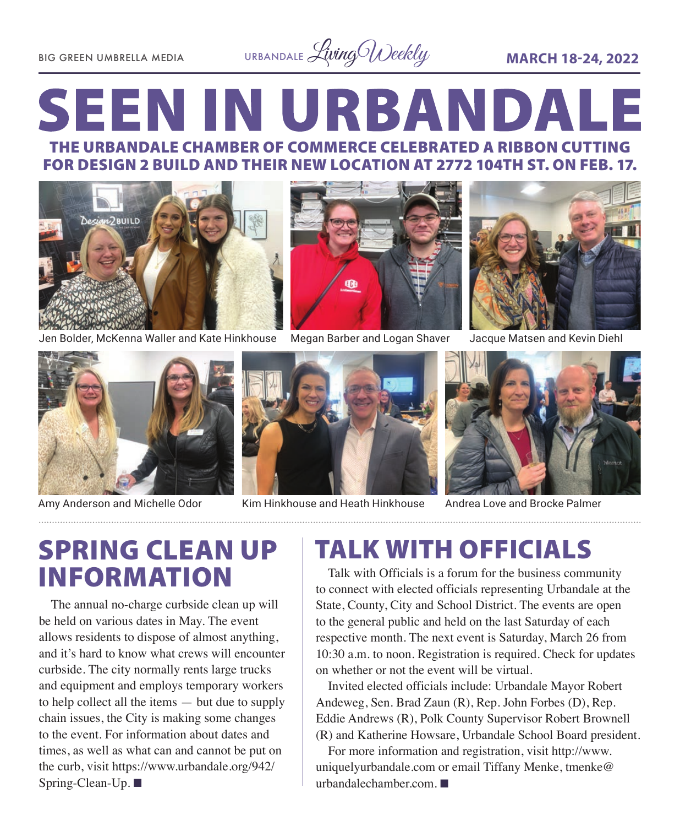

## **SEEN IN URBANDALE** THE URBANDALE CHAMBER OF COMMERCE CELEBRATED A RIBBON CUTTING FOR DESIGN 2 BUILD AND THEIR NEW LOCATION AT 2772 104TH ST. ON FEB. 17.



Jen Bolder, McKenna Waller and Kate Hinkhouse Megan Barber and Logan Shaver Jacque Matsen and Kevin Diehl

![](_page_2_Picture_6.jpeg)

![](_page_2_Picture_8.jpeg)

![](_page_2_Picture_10.jpeg)

![](_page_2_Picture_12.jpeg)

Amy Anderson and Michelle Odor Kim Hinkhouse and Heath Hinkhouse

![](_page_2_Picture_14.jpeg)

Andrea Love and Brocke Palmer

# SPRING CLEAN UP

The annual no-charge curbside clean up will be held on various dates in May. The event allows residents to dispose of almost anything, and it's hard to know what crews will encounter curbside. The city normally rents large trucks and equipment and employs temporary workers to help collect all the items — but due to supply chain issues, the City is making some changes to the event. For information about dates and times, as well as what can and cannot be put on the curb, visit [https://www.urbandale.org/942/](https://www.urbandale.org/942/Spring-Clean-Up) [Spring-Clean-Up](https://www.urbandale.org/942/Spring-Clean-Up). ■

## TALK WITH OFFICIALS

**INFORMATION** Talk with Officials is a forum for the business community to connect with elected officials representing Urbandale at the State, County, City and School District. The events are open to the general public and held on the last Saturday of each respective month. The next event is Saturday, March 26 from 10:30 a.m. to noon. Registration is required. Check for updates on whether or not the event will be virtual.

Invited elected officials include: Urbandale Mayor Robert Andeweg, Sen. Brad Zaun (R), Rep. John Forbes (D), Rep. Eddie Andrews (R), Polk County Supervisor Robert Brownell (R) and Katherine Howsare, Urbandale School Board president.

For more information and registration, visit [http://www.](http://www.uniquelyurbandale.com) [uniquelyurbandale.com](http://www.uniquelyurbandale.com) or email Tiffany Menke, [tmenke@](mailto:tmenke@urbandalechamber.com) [urbandalechamber.com.](mailto:tmenke@urbandalechamber.com)  $\blacksquare$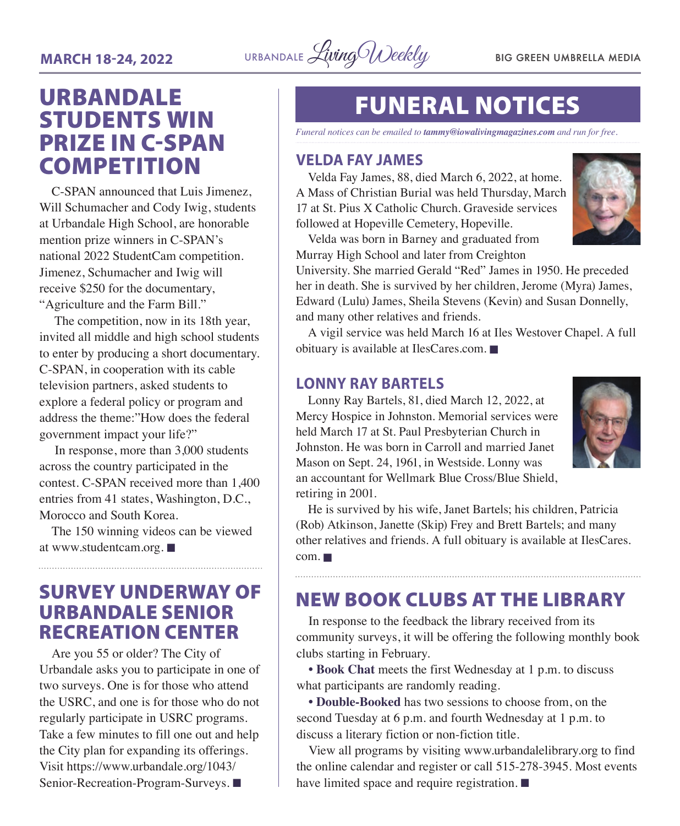![](_page_3_Picture_1.jpeg)

## URBANDALE STUDENTS WIN PRIZE IN C-SPAN **COMPETITION**

C-SPAN announced that Luis Jimenez, Will Schumacher and Cody Iwig, students at Urbandale High School, are honorable mention prize winners in C-SPAN's national 2022 StudentCam competition. Jimenez, Schumacher and Iwig will receive \$250 for the documentary, "Agriculture and the Farm Bill."

The competition, now in its 18th year, invited all middle and high school students to enter by producing a short documentary. C-SPAN, in cooperation with its cable television partners, asked students to explore a federal policy or program and address the theme:"How does the federal government impact your life?"

In response, more than 3,000 students across the country participated in the contest. C-SPAN received more than 1,400 entries from 41 states, Washington, D.C., Morocco and South Korea.

The 150 winning videos can be viewed at [www.studentcam.org.](http://www.studentcam.org) $\blacksquare$ 

### SURVEY UNDERWAY OF URBANDALE SENIOR RECREATION CENTER

Are you 55 or older? The City of Urbandale asks you to participate in one of two surveys. One is for those who attend the USRC, and one is for those who do not regularly participate in USRC programs. Take a few minutes to fill one out and help the City plan for expanding its offerings. Visit [https://www.urbandale.org/1043/](https://www.urbandale.org/1043/Senior-Recreation-Program-Surveys) [Senior-Recreation-Program-Surveys.](https://www.urbandale.org/1043/Senior-Recreation-Program-Surveys)

## FUNERAL NOTICES

*Funeral notices can be emailed to tammy@iowalivingmagazines.com and run for free.*

#### **VELDA FAY JAMES**

Velda Fay James, 88, died March 6, 2022, at home. A Mass of Christian Burial was held Thursday, March 17 at St. Pius X Catholic Church. Graveside services followed at Hopeville Cemetery, Hopeville.

![](_page_3_Picture_14.jpeg)

Velda was born in Barney and graduated from Murray High School and later from Creighton

University. She married Gerald "Red" James in 1950. He preceded her in death. She is survived by her children, Jerome (Myra) James, Edward (Lulu) James, Sheila Stevens (Kevin) and Susan Donnelly, and many other relatives and friends.

A vigil service was held March 16 at Iles Westover Chapel. A full obituary is available at [IlesCares.com.](http://IlesCares.com)  $\blacksquare$ 

#### **LONNY RAY BARTELS**

Lonny Ray Bartels, 81, died March 12, 2022, at Mercy Hospice in Johnston. Memorial services were held March 17 at St. Paul Presbyterian Church in Johnston. He was born in Carroll and married Janet Mason on Sept. 24, 1961, in Westside. Lonny was an accountant for Wellmark Blue Cross/Blue Shield, retiring in 2001.

![](_page_3_Picture_20.jpeg)

He is survived by his wife, Janet Bartels; his children, Patricia (Rob) Atkinson, Janette (Skip) Frey and Brett Bartels; and many other relatives and friends. A full obituary is available at [IlesCares.](http://IlesCares.com)  $com. \blacksquare$  $com. \blacksquare$ 

### NEW BOOK CLUBS AT THE LIBRARY

In response to the feedback the library received from its community surveys, it will be offering the following monthly book clubs starting in February.

**• Book Chat** meets the first Wednesday at 1 p.m. to discuss what participants are randomly reading.

**• Double-Booked** has two sessions to choose from, on the second Tuesday at 6 p.m. and fourth Wednesday at 1 p.m. to discuss a literary fiction or non-fiction title.

View all programs by visiting [www.urbandalelibrary.org](http://www.urbandalelibrary.org) to find the online calendar and register or call 515-278-3945. Most events have limited space and require registration.  $\blacksquare$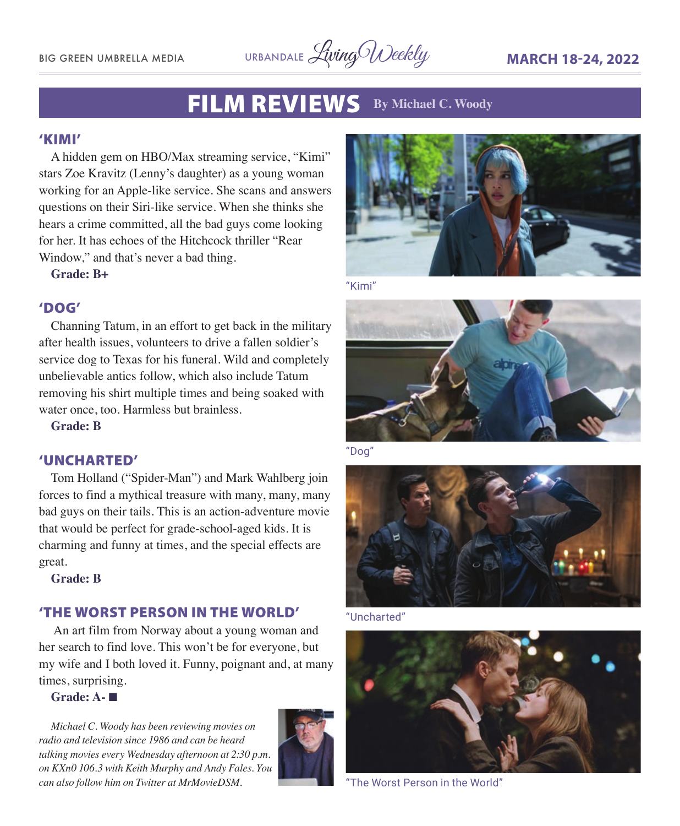![](_page_4_Picture_1.jpeg)

## FILM REVIEWS **By Michael C. Woody**

#### 'KIMI'

A hidden gem on HBO/Max streaming service, "Kimi" stars Zoe Kravitz (Lenny's daughter) as a young woman working for an Apple-like service. She scans and answers questions on their Siri-like service. When she thinks she hears a crime committed, all the bad guys come looking for her. It has echoes of the Hitchcock thriller "Rear Window," and that's never a bad thing.

**Grade: B+**

#### 'DOG'

Channing Tatum, in an effort to get back in the military after health issues, volunteers to drive a fallen soldier's service dog to Texas for his funeral. Wild and completely unbelievable antics follow, which also include Tatum removing his shirt multiple times and being soaked with water once, too. Harmless but brainless.

**Grade: B**

#### 'UNCHARTED'

Tom Holland ("Spider-Man") and Mark Wahlberg join forces to find a mythical treasure with many, many, many bad guys on their tails. This is an action-adventure movie that would be perfect for grade-school-aged kids. It is charming and funny at times, and the special effects are great.

**Grade: B**

#### 'THE WORST PERSON IN THE WORLD'

 An art film from Norway about a young woman and her search to find love. This won't be for everyone, but my wife and I both loved it. Funny, poignant and, at many times, surprising.

#### **Grade: A-** n

*Michael C. Woody has been reviewing movies on radio and television since 1986 and can be heard talking movies every Wednesday afternoon at 2:30 p.m. on KXn0 106.3 with Keith Murphy and Andy Fales. You can also follow him on Twitter at MrMovieDSM.* 

![](_page_4_Picture_17.jpeg)

![](_page_4_Picture_18.jpeg)

"Kimi"

![](_page_4_Picture_20.jpeg)

"Dog"

![](_page_4_Picture_22.jpeg)

"Uncharted"

![](_page_4_Picture_24.jpeg)

"The Worst Person in the World"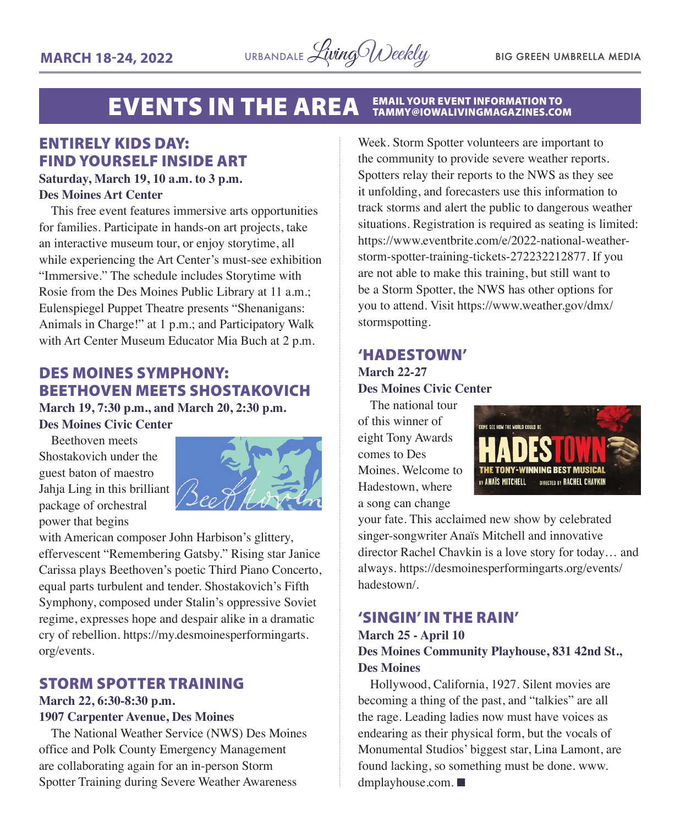![](_page_5_Picture_2.jpeg)

#### **EVENTS IN THE AREA EMAIL YOUR EVENT INFORMATION TO<br>TAMMY@IOWALIVINGMAGAZINES.COM**

### ENTIRELY KIDS DAY: FIND YOURSELF INSIDE ART

#### **Saturday, March 19, 10 a.m. to 3 p.m. Des Moines Art Center**

This free event features immersive arts opportunities for families. Participate in hands-on art projects, take an interactive museum tour, or enjoy storytime, all while experiencing the Art Center's must-see exhibition "Immersive." The schedule includes Storytime with Rosie from the Des Moines Public Library at 11 a.m.; Eulenspiegel Puppet Theatre presents "Shenanigans: Animals in Charge!" at 1 p.m.; and Participatory Walk with Art Center Museum Educator Mia Buch at 2 p.m.

### DES MOINES SYMPHONY: BEETHOVEN MEETS SHOSTAKOVICH

**March 19, 7:30 p.m., and March 20, 2:30 p.m. Des Moines Civic Center**

Beethoven meets Shostakovich under the guest baton of maestro Jahja Ling in this brilliant package of orchestral power that begins

![](_page_5_Picture_10.jpeg)

with American composer John Harbison's glittery, effervescent "Remembering Gatsby." Rising star Janice Carissa plays Beethoven's poetic Third Piano Concerto, equal parts turbulent and tender. Shostakovich's Fifth Symphony, composed under Stalin's oppressive Soviet regime, expresses hope and despair alike in a dramatic cry of rebellion. https://my.desmoinesperformingarts. org/events.

#### STORM SPOTTER TRAINING

#### **March 22, 6:30-8:30 p.m.**

#### **1907 Carpenter Avenue, Des Moines**

The National Weather Service (NWS) Des Moines office and Polk County Emergency Management are collaborating again for an in-person Storm Spotter Training during Severe Weather Awareness

Week. Storm Spotter volunteers are important to the community to provide severe weather reports. Spotters relay their reports to the NWS as they see it unfolding, and forecasters use this information to track storms and alert the public to dangerous weather situations. Registration is required as seating is limited: https://www.eventbrite.com/e/2022-national-weatherstorm-spotter-training-tickets-272232212877. If you are not able to make this training, but still want to be a Storm Spotter, the NWS has other options for you to attend. Visit https://www.weather.gov/dmx/ stormspotting.

#### 'HADESTOWN' **March 22-27 Des Moines Civic Center**

The national tour of this winner of eight Tony Awards comes to Des Moines. Welcome to Hadestown, where a song can change

![](_page_5_Picture_19.jpeg)

your fate. This acclaimed new show by celebrated singer-songwriter Anaïs Mitchell and innovative director Rachel Chavkin is a love story for today… and always. https://desmoinesperformingarts.org/events/ hadestown/.

#### 'SINGIN' IN THE RAIN'

#### **March 25 - April 10 Des Moines Community Playhouse, 831 42nd St., Des Moines**

Hollywood, California, 1927. Silent movies are becoming a thing of the past, and "talkies" are all the rage. Leading ladies now must have voices as endearing as their physical form, but the vocals of Monumental Studios' biggest star, Lina Lamont, are found lacking, so something must be done. www. dmplayhouse.com.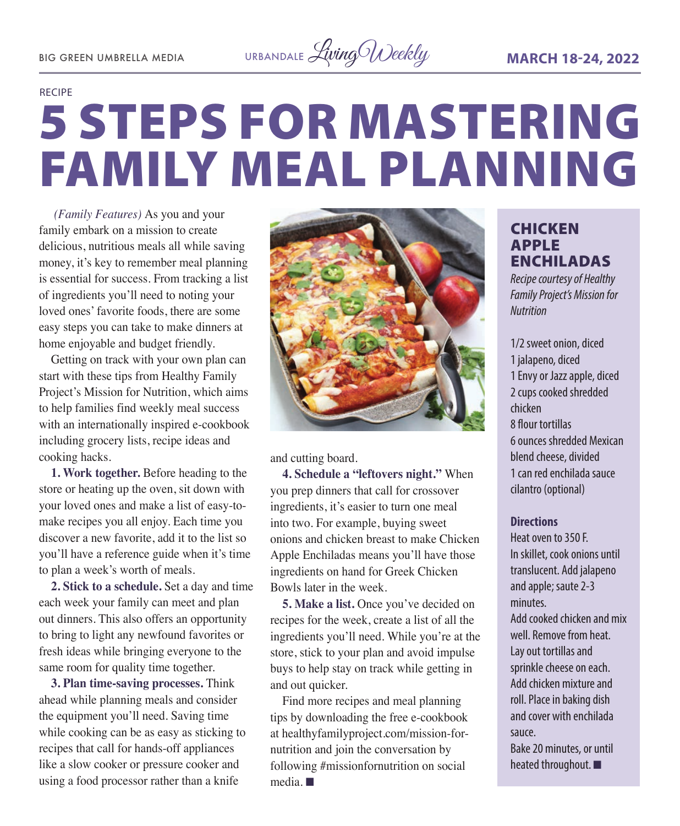![](_page_6_Picture_2.jpeg)

#### RECIPE

# 5 STEPS FOR MASTERING FAMILY MEAL PLANNING

 *(Family Features)* As you and your family embark on a mission to create delicious, nutritious meals all while saving money, it's key to remember meal planning is essential for success. From tracking a list of ingredients you'll need to noting your loved ones' favorite foods, there are some easy steps you can take to make dinners at home enjoyable and budget friendly.

Getting on track with your own plan can start with these tips from Healthy Family Project's Mission for Nutrition, which aims to help families find weekly meal success with an internationally inspired e-cookbook including grocery lists, recipe ideas and cooking hacks.

**1. Work together.** Before heading to the store or heating up the oven, sit down with your loved ones and make a list of easy-tomake recipes you all enjoy. Each time you discover a new favorite, add it to the list so you'll have a reference guide when it's time to plan a week's worth of meals.

**2. Stick to a schedule.** Set a day and time each week your family can meet and plan out dinners. This also offers an opportunity to bring to light any newfound favorites or fresh ideas while bringing everyone to the same room for quality time together.

**3. Plan time-saving processes.** Think ahead while planning meals and consider the equipment you'll need. Saving time while cooking can be as easy as sticking to recipes that call for hands-off appliances like a slow cooker or pressure cooker and using a food processor rather than a knife

![](_page_6_Picture_10.jpeg)

and cutting board.

**4. Schedule a "leftovers night."** When you prep dinners that call for crossover ingredients, it's easier to turn one meal into two. For example, buying sweet onions and chicken breast to make Chicken Apple Enchiladas means you'll have those ingredients on hand for Greek Chicken Bowls later in the week.

**5. Make a list.** Once you've decided on recipes for the week, create a list of all the ingredients you'll need. While you're at the store, stick to your plan and avoid impulse buys to help stay on track while getting in and out quicker.

Find more recipes and meal planning tips by downloading the free e-cookbook at healthyfamilyproject.com/mission-fornutrition and join the conversation by following #missionfornutrition on social  $media. \blacksquare$ 

#### **CHICKEN** APPLE ENCHILADAS

*Recipe courtesy of Healthy Family Project's Mission for Nutrition*

1/2 sweet onion, diced 1 jalapeno, diced 1 Envy or Jazz apple, diced 2 cups cooked shredded chicken 8 flour tortillas 6 ounces shredded Mexican blend cheese, divided 1 can red enchilada sauce cilantro (optional)

#### **Directions**

Heat oven to 350 F. In skillet, cook onions until translucent. Add jalapeno and apple; saute 2-3 minutes. Add cooked chicken and mix well. Remove from heat. Lay out tortillas and sprinkle cheese on each. Add chicken mixture and roll. Place in baking dish and cover with enchilada sauce. Bake 20 minutes, or until heated throughout.  $\blacksquare$